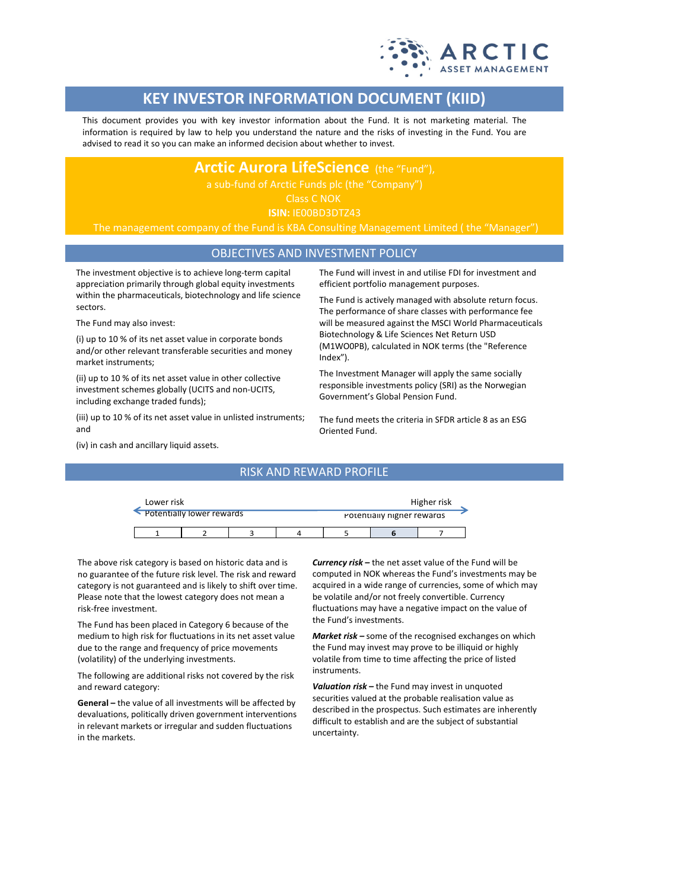

# **KEY INVESTOR INFORMATION DOCUMENT (KIID)**

This document provides you with key investor information about the Fund. It is not marketing material. The information is required by law to help you understand the nature and the risks of investing in the Fund. You are advised to read it so you can make an informed decision about whether to invest.

## **Arctic Aurora LifeScience** (the "Fund"),

Class C NOK **ISIN:** IE00BD3DTZ43

The management company of the Fund is KBA Consulting Management Limited ( the "Manager")

### OBJECTIVES AND INVESTMENT POLICY

The investment objective is to achieve long-term capital appreciation primarily through global equity investments within the pharmaceuticals, biotechnology and life science sectors.

The Fund may also invest:

(i) up to 10 % of its net asset value in corporate bonds and/or other relevant transferable securities and money market instruments;

(ii) up to 10 % of its net asset value in other collective investment schemes globally (UCITS and non-UCITS, including exchange traded funds);

(iii) up to 10 % of its net asset value in unlisted instruments; and

(iv) in cash and ancillary liquid assets.

The Fund will invest in and utilise FDI for investment and efficient portfolio management purposes.

The Fund is actively managed with absolute return focus. The performance of share classes with performance fee will be measured against the MSCI World Pharmaceuticals Biotechnology & Life Sciences Net Return USD (M1WO0PB), calculated in NOK terms (the "Reference Index").

The Investment Manager will apply the same socially responsible investments policy (SRI) as the Norwegian Government's Global Pension Fund.

The fund meets the criteria in SFDR article 8 as an ESG Oriented Fund.

| Lower risk |                             |   |                            | Higher risk |  |
|------------|-----------------------------|---|----------------------------|-------------|--|
|            | • Potentially lower rewards |   | Potentially higher rewards |             |  |
|            |                             | 4 |                            |             |  |

RISK AND REWARD PROFILE

The above risk category is based on historic data and is no guarantee of the future risk level. The risk and reward category is not guaranteed and is likely to shift over time. Please note that the lowest category does not mean a risk-free investment.

The Fund has been placed in Category 6 because of the medium to high risk for fluctuations in its net asset value due to the range and frequency of price movements (volatility) of the underlying investments.

The following are additional risks not covered by the risk and reward category:

**General –** the value of all investments will be affected by devaluations, politically driven government interventions in relevant markets or irregular and sudden fluctuations in the markets.

*Currency risk –* the net asset value of the Fund will be computed in NOK whereas the Fund's investments may be acquired in a wide range of currencies, some of which may be volatile and/or not freely convertible. Currency fluctuations may have a negative impact on the value of the Fund's investments.

*Market risk –* some of the recognised exchanges on which the Fund may invest may prove to be illiquid or highly volatile from time to time affecting the price of listed instruments.

*Valuation risk –* the Fund may invest in unquoted securities valued at the probable realisation value as described in the prospectus. Such estimates are inherently difficult to establish and are the subject of substantial uncertainty.